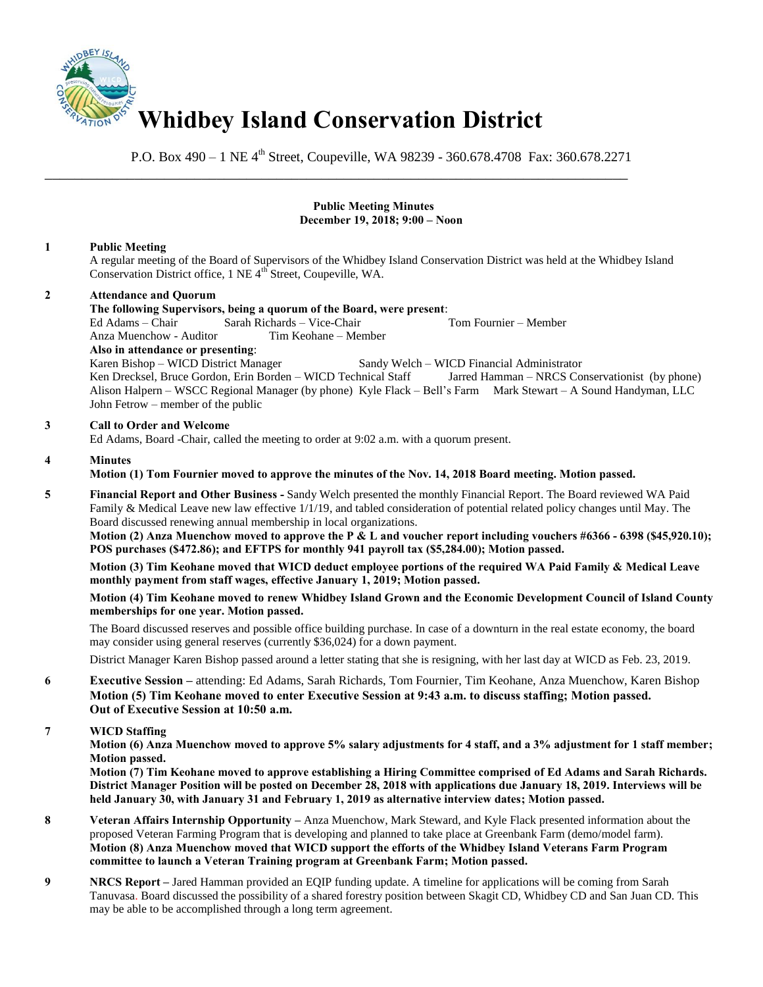

P.O. Box 490 – 1 NE 4<sup>th</sup> Street, Coupeville, WA 98239 - 360.678.4708 Fax: 360.678.2271

### **Public Meeting Minutes December 19, 2018; 9:00 – Noon**

# **1 Public Meeting**

A regular meeting of the Board of Supervisors of the Whidbey Island Conservation District was held at the Whidbey Island Conservation District office, 1 NE 4<sup>th</sup> Street, Coupeville, WA.

# **2 Attendance and Quorum**

### **The following Supervisors, being a quorum of the Board, were present**:

Ed Adams – Chair Sarah Richards – Vice-Chair Tom Fournier – Member

\_\_\_\_\_\_\_\_\_\_\_\_\_\_\_\_\_\_\_\_\_\_\_\_\_\_\_\_\_\_\_\_\_\_\_\_\_\_\_\_\_\_\_\_\_\_\_\_\_\_\_\_\_\_\_\_\_\_\_\_\_\_\_\_\_\_\_\_\_\_\_\_\_\_\_\_\_\_

Anza Muenchow - Auditor Tim Keohane – Member

**Also in attendance or presenting**: Sandy Welch – WICD Financial Administrator

Ken Drecksel, Bruce Gordon, Erin Borden – WICD Technical Staff Jarred Hamman – NRCS Conservationist (by phone) Alison Halpern – WSCC Regional Manager (by phone) Kyle Flack – Bell's Farm Mark Stewart – A Sound Handyman, LLC John Fetrow – member of the public

# **3 Call to Order and Welcome**

Ed Adams, Board -Chair, called the meeting to order at 9:02 a.m. with a quorum present.

### **4 Minutes**

**Motion (1) Tom Fournier moved to approve the minutes of the Nov. 14, 2018 Board meeting. Motion passed.** 

**5 Financial Report and Other Business -** Sandy Welch presented the monthly Financial Report. The Board reviewed WA Paid Family & Medical Leave new law effective 1/1/19, and tabled consideration of potential related policy changes until May. The Board discussed renewing annual membership in local organizations.

 **Motion (2) Anza Muenchow moved to approve the P & L and voucher report including vouchers #6366 - 6398 (\$45,920.10); POS purchases (\$472.86); and EFTPS for monthly 941 payroll tax (\$5,284.00); Motion passed.** 

**Motion (3) Tim Keohane moved that WICD deduct employee portions of the required WA Paid Family & Medical Leave monthly payment from staff wages, effective January 1, 2019; Motion passed.** 

**Motion (4) Tim Keohane moved to renew Whidbey Island Grown and the Economic Development Council of Island County memberships for one year. Motion passed.** 

The Board discussed reserves and possible office building purchase. In case of a downturn in the real estate economy, the board may consider using general reserves (currently \$36,024) for a down payment.

District Manager Karen Bishop passed around a letter stating that she is resigning, with her last day at WICD as Feb. 23, 2019.

**6 <b>Executive Session** – attending: Ed Adams, Sarah Richards, Tom Fournier, Tim Keohane, Anza Muenchow, Karen Bishop  **Motion (5) Tim Keohane moved to enter Executive Session at 9:43 a.m. to discuss staffing; Motion passed. Out of Executive Session at 10:50 a.m.** 

# **7 WICD Staffing**

**Motion (6) Anza Muenchow moved to approve 5% salary adjustments for 4 staff, and a 3% adjustment for 1 staff member; Motion passed.** 

**Motion (7) Tim Keohane moved to approve establishing a Hiring Committee comprised of Ed Adams and Sarah Richards. District Manager Position will be posted on December 28, 2018 with applications due January 18, 2019. Interviews will be held January 30, with January 31 and February 1, 2019 as alternative interview dates; Motion passed.** 

- **8** Veteran Affairs Internship Opportunity Anza Muenchow, Mark Steward, and Kyle Flack presented information about the proposed Veteran Farming Program that is developing and planned to take place at Greenbank Farm (demo/model farm). **Motion (8) Anza Muenchow moved that WICD support the efforts of the Whidbey Island Veterans Farm Program committee to launch a Veteran Training program at Greenbank Farm; Motion passed.**
- **9 NRCS Report** Jared Hamman provided an EQIP funding update. A timeline for applications will be coming from Sarah Tanuvasa. Board discussed the possibility of a shared forestry position between Skagit CD, Whidbey CD and San Juan CD. This may be able to be accomplished through a long term agreement.